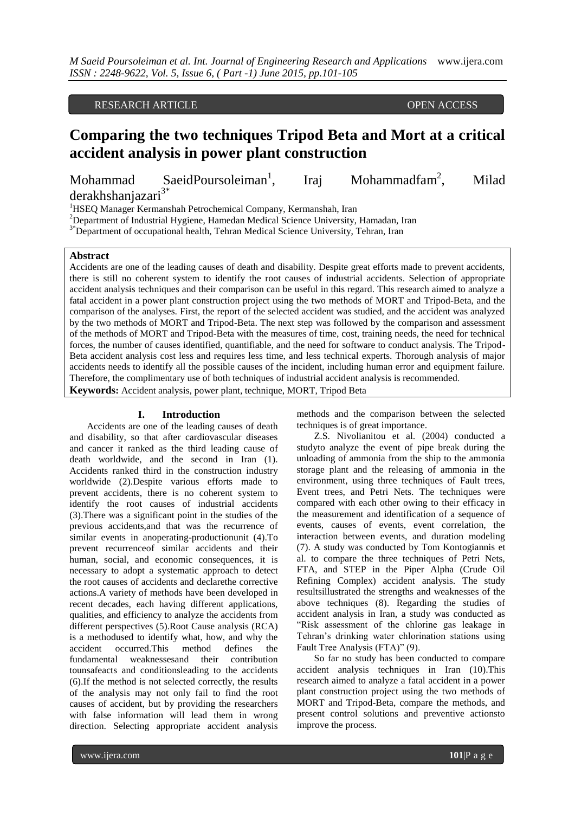*M Saeid Poursoleiman et al. Int. Journal of Engineering Research and Applications* www.ijera.com *ISSN : 2248-9622, Vol. 5, Issue 6, ( Part -1) June 2015, pp.101-105*

# RESEARCH ARTICLE **OPEN ACCESS**

# **Comparing the two techniques Tripod Beta and Mort at a critical accident analysis in power plant construction**

Mohammad SaeidPoursoleiman<sup>1</sup>, Iraj Mohammadfam<sup>2</sup>, , Milad derakhshanjazari<sup>3\*</sup>

<sup>1</sup>HSEQ Manager Kermanshah Petrochemical Company, Kermanshah, Iran

<sup>2</sup>Department of Industrial Hygiene, Hamedan Medical Science University, Hamadan, Iran

<sup>3\*</sup>Department of occupational health, Tehran Medical Science University, Tehran, Iran

## **Abstract**

Accidents are one of the leading causes of death and disability. Despite great efforts made to prevent accidents, there is still no coherent system to identify the root causes of industrial accidents. Selection of appropriate accident analysis techniques and their comparison can be useful in this regard. This research aimed to analyze a fatal accident in a power plant construction project using the two methods of MORT and Tripod-Beta, and the comparison of the analyses. First, the report of the selected accident was studied, and the accident was analyzed by the two methods of MORT and Tripod-Beta. The next step was followed by the comparison and assessment of the methods of MORT and Tripod-Beta with the measures of time, cost, training needs, the need for technical forces, the number of causes identified, quantifiable, and the need for software to conduct analysis. The Tripod-Beta accident analysis cost less and requires less time, and less technical experts. Thorough analysis of major accidents needs to identify all the possible causes of the incident, including human error and equipment failure. Therefore, the complimentary use of both techniques of industrial accident analysis is recommended. **Keywords:** Accident analysis, power plant, technique, MORT, Tripod Beta

**I. Introduction**

Accidents are one of the leading causes of death and disability, so that after cardiovascular diseases and cancer it ranked as the third leading cause of death worldwide, and the second in Iran (1). Accidents ranked third in the construction industry worldwide (2).Despite various efforts made to prevent accidents, there is no coherent system to identify the root causes of industrial accidents (3).There was a significant point in the studies of the previous accidents,and that was the recurrence of similar events in anoperating-productionunit (4).To prevent recurrenceof similar accidents and their human, social, and economic consequences, it is necessary to adopt a systematic approach to detect the root causes of accidents and declarethe corrective actions.A variety of methods have been developed in recent decades, each having different applications, qualities, and efficiency to analyze the accidents from different perspectives (5).Root Cause analysis (RCA) is a methodused to identify what, how, and why the accident occurred.This method defines the fundamental weaknessesand their contribution tounsafeacts and conditionsleading to the accidents (6).If the method is not selected correctly, the results of the analysis may not only fail to find the root causes of accident, but by providing the researchers with false information will lead them in wrong direction. Selecting appropriate accident analysis

methods and the comparison between the selected techniques is of great importance.

Z.S. Nivolianitou et al. (2004) conducted a studyto analyze the event of pipe break during the unloading of ammonia from the ship to the ammonia storage plant and the releasing of ammonia in the environment, using three techniques of Fault trees, Event trees, and Petri Nets. The techniques were compared with each other owing to their efficacy in the measurement and identification of a sequence of events, causes of events, event correlation, the interaction between events, and duration modeling (7). A study was conducted by Tom Kontogiannis et al. to compare the three techniques of Petri Nets, FTA, and STEP in the Piper Alpha (Crude Oil Refining Complex) accident analysis. The study resultsillustrated the strengths and weaknesses of the above techniques (8). Regarding the studies of accident analysis in Iran, a study was conducted as "Risk assessment of the chlorine gas leakage in Tehran's drinking water chlorination stations using Fault Tree Analysis (FTA)" (9).

So far no study has been conducted to compare accident analysis techniques in Iran (10).This research aimed to analyze a fatal accident in a power plant construction project using the two methods of MORT and Tripod-Beta, compare the methods, and present control solutions and preventive actionsto improve the process.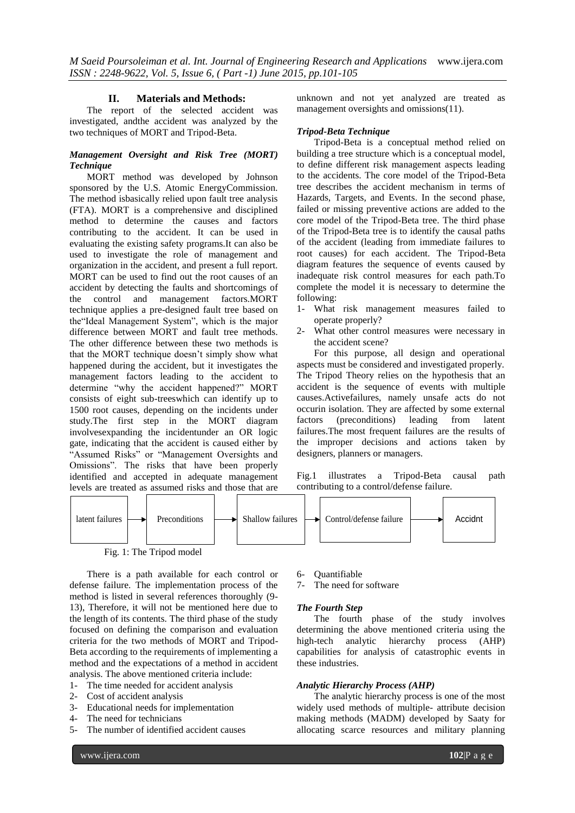## **II. Materials and Methods:**

The report of the selected accident was investigated, andthe accident was analyzed by the two techniques of MORT and Tripod-Beta.

# *Management Oversight and Risk Tree (MORT) Technique*

MORT method was developed by Johnson sponsored by the U.S. Atomic EnergyCommission. The method isbasically relied upon fault tree analysis (FTA). MORT is a comprehensive and disciplined method to determine the causes and factors contributing to the accident. It can be used in evaluating the existing safety programs.It can also be used to investigate the role of management and organization in the accident, and present a full report. MORT can be used to find out the root causes of an accident by detecting the faults and shortcomings of the control and management factors.MORT technique applies a pre-designed fault tree based on the"Ideal Management System", which is the major difference between MORT and fault tree methods. The other difference between these two methods is that the MORT technique doesn't simply show what happened during the accident, but it investigates the management factors leading to the accident to determine "why the accident happened?" MORT consists of eight sub-treeswhich can identify up to 1500 root causes, depending on the incidents under study.The first step in the MORT diagram involvesexpanding the incidentunder an OR logic gate, indicating that the accident is caused either by "Assumed Risks" or "Management Oversights and Omissions". The risks that have been properly identified and accepted in adequate management levels are treated as assumed risks and those that are

unknown and not yet analyzed are treated as management oversights and omissions(11).

#### *Tripod-Beta Technique*

Tripod-Beta is a conceptual method relied on building a tree structure which is a conceptual model, to define different risk management aspects leading to the accidents. The core model of the Tripod-Beta tree describes the accident mechanism in terms of Hazards, Targets, and Events. In the second phase, failed or missing preventive actions are added to the core model of the Tripod-Beta tree. The third phase of the Tripod-Beta tree is to identify the causal paths of the accident (leading from immediate failures to root causes) for each accident. The Tripod-Beta diagram features the sequence of events caused by inadequate risk control measures for each path.To complete the model it is necessary to determine the following:

- 1- What risk management measures failed to operate properly?
- 2- What other control measures were necessary in the accident scene?

For this purpose, all design and operational aspects must be considered and investigated properly. The Tripod Theory relies on the hypothesis that an accident is the sequence of events with multiple causes.Activefailures, namely unsafe acts do not occurin isolation. They are affected by some external factors (preconditions) leading from latent failures.The most frequent failures are the results of the improper decisions and actions taken by designers, planners or managers.

Fig.1 illustrates a Tripod-Beta causal path contributing to a control/defense failure.



Fig. 1: The Tripod model

There is a path available for each control or defense failure. The implementation process of the method is listed in several references thoroughly (9- 13), Therefore, it will not be mentioned here due to the length of its contents. The third phase of the study focused on defining the comparison and evaluation criteria for the two methods of MORT and Tripod-Beta according to the requirements of implementing a method and the expectations of a method in accident analysis. The above mentioned criteria include:

- 1- The time needed for accident analysis
- 2- Cost of accident analysis
- 3- Educational needs for implementation
- 4- The need for technicians
- 5- The number of identified accident causes
- 6- Quantifiable
- 7- The need for software

#### *The Fourth Step*

The fourth phase of the study involves determining the above mentioned criteria using the high-tech analytic hierarchy process (AHP) capabilities for analysis of catastrophic events in these industries.

#### *Analytic Hierarchy Process (AHP)*

The analytic hierarchy process is one of the most widely used methods of multiple- attribute decision making methods (MADM) developed by Saaty for allocating scarce resources and military planning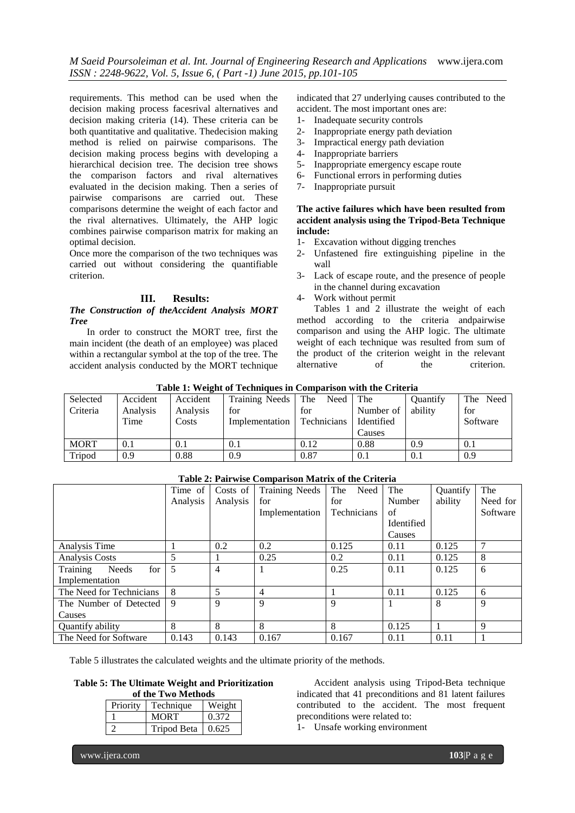*M Saeid Poursoleiman et al. Int. Journal of Engineering Research and Applications* www.ijera.com *ISSN : 2248-9622, Vol. 5, Issue 6, ( Part -1) June 2015, pp.101-105*

requirements. This method can be used when the decision making process facesrival alternatives and decision making criteria (14). These criteria can be both quantitative and qualitative. Thedecision making method is relied on pairwise comparisons. The decision making process begins with developing a hierarchical decision tree. The decision tree shows the comparison factors and rival alternatives evaluated in the decision making. Then a series of pairwise comparisons are carried out. These comparisons determine the weight of each factor and the rival alternatives. Ultimately, the AHP logic combines pairwise comparison matrix for making an optimal decision.

Once more the comparison of the two techniques was carried out without considering the quantifiable criterion.

#### **III. Results:**

#### *The Construction of theAccident Analysis MORT Tree*

In order to construct the MORT tree, first the main incident (the death of an employee) was placed within a rectangular symbol at the top of the tree. The accident analysis conducted by the MORT technique

indicated that 27 underlying causes contributed to the accident. The most important ones are:

- 1- Inadequate security controls
- 2- Inappropriate energy path deviation
- 3- Impractical energy path deviation
- 4- Inappropriate barriers
- 5- Inappropriate emergency escape route
- 6- Functional errors in performing duties
- 7- Inappropriate pursuit

# **The active failures which have been resulted from accident analysis using the Tripod-Beta Technique include:**

- 1- Excavation without digging trenches
- 2- Unfastened fire extinguishing pipeline in the wall
- 3- Lack of escape route, and the presence of people in the channel during excavation
- 4- Work without permit

Tables 1 and 2 illustrate the weight of each method according to the criteria andpairwise comparison and using the AHP logic. The ultimate weight of each technique was resulted from sum of the product of the criterion weight in the relevant alternative of the criterion.

**Table 1: Weight of Techniques in Comparison with the Criteria**

| Selected    | Accident | Accident | <b>Training Needs</b> | The<br>Need | The        | Quantify | Need<br>The |
|-------------|----------|----------|-----------------------|-------------|------------|----------|-------------|
| Criteria    | Analysis | Analysis | for                   | for         | Number of  | ability  | for         |
|             | Time     | Costs    | Implementation        | Technicians | Identified |          | Software    |
|             |          |          |                       |             | Causes     |          |             |
| <b>MORT</b> | 0.1      | 0.1      | 0.1                   | 0.12        | 0.88       | 0.9      | 0.1         |
| Tripod      | 0.9      | 0.88     | 0.9                   | 0.87        | 0.1        | 0.1      | 0.9         |

|                                 | Time of  | Costs of     | <b>Training Needs</b> | The<br>Need | The        | Quantify | The      |
|---------------------------------|----------|--------------|-----------------------|-------------|------------|----------|----------|
|                                 | Analysis | Analysis     | for                   | for         | Number     | ability  | Need for |
|                                 |          |              | Implementation        | Technicians | of         |          | Software |
|                                 |          |              |                       |             | Identified |          |          |
|                                 |          |              |                       |             | Causes     |          |          |
| Analysis Time                   |          | 0.2          | 0.2                   | 0.125       | 0.11       | 0.125    | 7        |
| Analysis Costs                  |          |              | 0.25                  | 0.2         | 0.11       | 0.125    | 8        |
| Training<br><b>Needs</b><br>for | 5        | 4            |                       | 0.25        | 0.11       | 0.125    | 6        |
| Implementation                  |          |              |                       |             |            |          |          |
| The Need for Technicians        | 8        | 5            | $\overline{4}$        |             | 0.11       | 0.125    | 6        |
| The Number of Detected          | 9        | $\mathbf{Q}$ | $\mathbf Q$           | 9           |            | 8        | 9        |
| Causes                          |          |              |                       |             |            |          |          |
| Quantify ability                | 8        | 8            | 8                     | 8           | 0.125      |          | 9        |
| The Need for Software           | 0.143    | 0.143        | 0.167                 | 0.167       | 0.11       | 0.11     |          |

**Table 2: Pairwise Comparison Matrix of the Criteria**

Table 5 illustrates the calculated weights and the ultimate priority of the methods.

**Table 5: The Ultimate Weight and Prioritization of the Two Methods**

| ul the Two Methous |             |        |  |  |  |
|--------------------|-------------|--------|--|--|--|
| Priority           | Technique   | Weight |  |  |  |
|                    | <b>MORT</b> | 0.372  |  |  |  |
|                    | Tripod Beta | 10.625 |  |  |  |

Accident analysis using Tripod-Beta technique indicated that 41 preconditions and 81 latent failures contributed to the accident. The most frequent preconditions were related to:

1- Unsafe working environment

www.ijera.com **103**|P a g e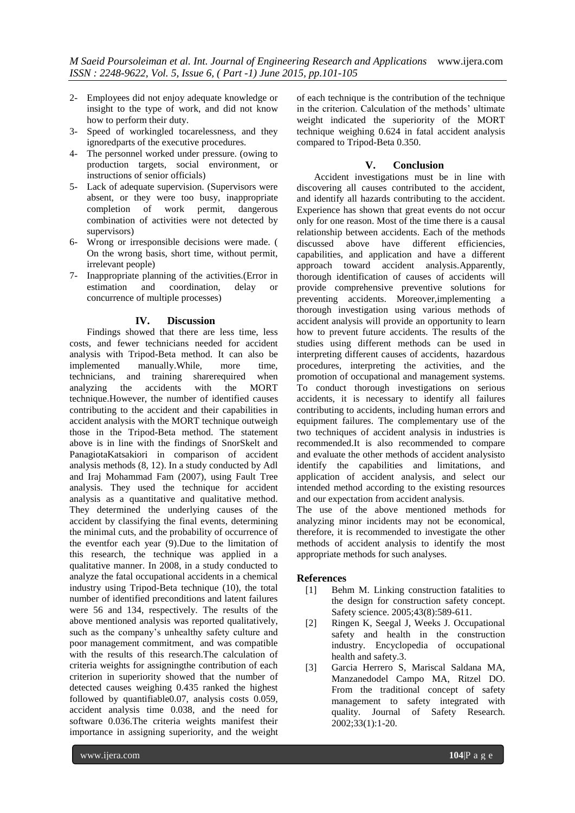- 2- Employees did not enjoy adequate knowledge or insight to the type of work, and did not know how to perform their duty.
- 3- Speed of workingled tocarelessness, and they ignoredparts of the executive procedures.
- 4- The personnel worked under pressure. (owing to production targets, social environment, or instructions of senior officials)
- 5- Lack of adequate supervision. (Supervisors were absent, or they were too busy, inappropriate completion of work permit, dangerous combination of activities were not detected by supervisors)
- 6- Wrong or irresponsible decisions were made. ( On the wrong basis, short time, without permit, irrelevant people)
- 7- Inappropriate planning of the activities.(Error in estimation and coordination, delay concurrence of multiple processes)

## **IV. Discussion**

Findings showed that there are less time, less costs, and fewer technicians needed for accident analysis with Tripod-Beta method. It can also be implemented manually.While, more time, technicians, and training sharerequired when analyzing the accidents with the MORT technique.However, the number of identified causes contributing to the accident and their capabilities in accident analysis with the MORT technique outweigh those in the Tripod-Beta method. The statement above is in line with the findings of SnorSkelt and PanagiotaKatsakiori in comparison of accident analysis methods (8, 12). In a study conducted by Adl and Iraj Mohammad Fam (2007), using Fault Tree analysis. They used the technique for accident analysis as a quantitative and qualitative method. They determined the underlying causes of the accident by classifying the final events, determining the minimal cuts, and the probability of occurrence of the eventfor each year (9).Due to the limitation of this research, the technique was applied in a qualitative manner. In 2008, in a study conducted to analyze the fatal occupational accidents in a chemical industry using Tripod-Beta technique (10), the total number of identified preconditions and latent failures were 56 and 134, respectively. The results of the above mentioned analysis was reported qualitatively, such as the company's unhealthy safety culture and poor management commitment, and was compatible with the results of this research.The calculation of criteria weights for assigningthe contribution of each criterion in superiority showed that the number of detected causes weighing 0.435 ranked the highest followed by quantifiable0.07, analysis costs 0.059, accident analysis time 0.038, and the need for software 0.036.The criteria weights manifest their importance in assigning superiority, and the weight

of each technique is the contribution of the technique in the criterion. Calculation of the methods' ultimate weight indicated the superiority of the MORT technique weighing 0.624 in fatal accident analysis compared to Tripod-Beta 0.350.

# **V. Conclusion**

Accident investigations must be in line with discovering all causes contributed to the accident, and identify all hazards contributing to the accident. Experience has shown that great events do not occur only for one reason. Most of the time there is a causal relationship between accidents. Each of the methods discussed above have different efficiencies, capabilities, and application and have a different approach toward accident analysis.Apparently, thorough identification of causes of accidents will provide comprehensive preventive solutions for preventing accidents. Moreover,implementing a thorough investigation using various methods of accident analysis will provide an opportunity to learn how to prevent future accidents. The results of the studies using different methods can be used in interpreting different causes of accidents, hazardous procedures, interpreting the activities, and the promotion of occupational and management systems. To conduct thorough investigations on serious accidents, it is necessary to identify all failures contributing to accidents, including human errors and equipment failures. The complementary use of the two techniques of accident analysis in industries is recommended.It is also recommended to compare and evaluate the other methods of accident analysisto identify the capabilities and limitations, and application of accident analysis, and select our intended method according to the existing resources and our expectation from accident analysis.

The use of the above mentioned methods for analyzing minor incidents may not be economical, therefore, it is recommended to investigate the other methods of accident analysis to identify the most appropriate methods for such analyses.

# **References**

- [1] Behm M. Linking construction fatalities to the design for construction safety concept. Safety science. 2005;43(8):589-611.
- [2] Ringen K, Seegal J, Weeks J. Occupational safety and health in the construction industry. Encyclopedia of occupational health and safety.3.
- [3] Garcia Herrero S, Mariscal Saldana MA, Manzanedodel Campo MA, Ritzel DO. From the traditional concept of safety management to safety integrated with quality. Journal of Safety Research. 2002;33(1):1-20.